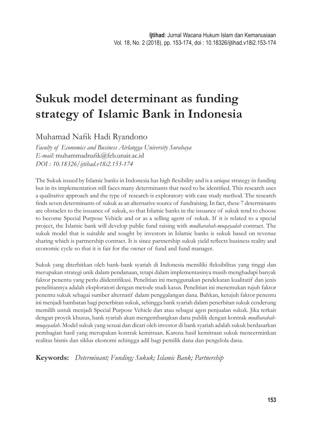# **Sukuk model determinant as funding strategy of Islamic Bank in Indonesia**

Muhamad Nafik Hadi Ryandono

*Faculty of Economics and Business Airlangga University Surabaya E-mail:* muhammadnafik@feb.unair.ac.id *DOI : 10.18326/ijtihad.v18i2.153-174*

The Sukuk issued by Islamic banks in Indonesia has high flexibility and is a unique strategy in funding but in its implementation still faces many determinants that need to be identified. This research uses a qualitative approach and the type of research is exploratory with case study method. The research finds seven determinants of sukuk as an alternative source of fundraising. In fact, these 7 determinants are obstacles to the issuance of sukuk, so that Islamic banks in the issuance of sukuk tend to choose to become Special Purpose Vehicle and or as a selling agent of sukuk. If it is related to a special project, the Islamic bank will develop public fund raising with *mudharabah-muqayadah* contract. The sukuk model that is suitable and sought by investors in Islamic banks is sukuk based on revenue sharing which is partnership contract. It is since partnership sukuk yield reflects business reality and economic cycle so that it is fair for the owner of fund and fund manager.

Sukuk yang diterbitkan oleh bank-bank syariah di Indonesia memiliki fleksibilitas yang tinggi dan merupakan strategi unik dalam pendanaan, tetapi dalam implementasinya masih menghadapi banyak faktor penentu yang perlu diidentifikasi. Penelitian ini menggunakan pendekatan kualitatif dan jenis penelitiannya adalah eksploratori dengan metode studi kasus. Penelitian ini menemukan tujuh faktor penentu sukuk sebagai sumber alternatif dalam penggalangan dana. Bahkan, ketujuh faktor penentu ini menjadi hambatan bagi penerbitan sukuk, sehingga bank syariah dalam penerbitan sukuk cenderung memilih untuk menjadi Special Purpose Vehicle dan atau sebagai agen penjualan sukuk. Jika terkait dengan proyek khusus, bank syariah akan mengembangkan dana publik dengan kontrak *mudharabahmuqayadah*. Model sukuk yang sesuai dan dicari oleh investor di bank syariah adalah sukuk berdasarkan pembagian hasil yang merupakan kontrak kemitraan. Karena hasil kemitraan sukuk mencerminkan realitas bisnis dan siklus ekonomi sehingga adil bagi pemilik dana dan pengelola dana.

**Keywords:** *Determinant; Funding; Sukuk; Islamic Bank; Partnership*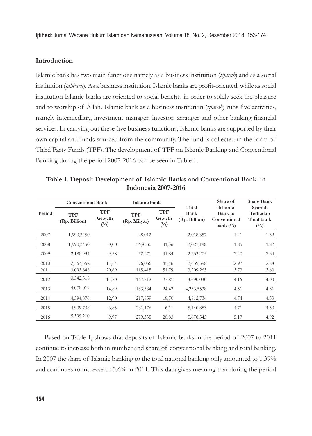## **Introduction**

Islamic bank has two main functions namely as a business institution (*tijarah*) and as a social institution (*tabbaru*). As a business institution, Islamic banks are profit-oriented, while as social institution Islamic banks are oriented to social benefits in order to solely seek the pleasure and to worship of Allah. Islamic bank as a business institution (*tijarah*) runs five activities, namely intermediary, investment manager, investor, arranger and other banking financial services. In carrying out these five business functions, Islamic banks are supported by their own capital and funds sourced from the community. The fund is collected in the form of Third Party Funds (TPF). The development of TPF on Islamic Banking and Conventional Banking during the period 2007-2016 can be seen in Table 1.

| Period | <b>Conventional Bank</b>    |                         | Islamic bank               |                                       |                                | Share of                                                 | <b>Share Bank</b>                                 |
|--------|-----------------------------|-------------------------|----------------------------|---------------------------------------|--------------------------------|----------------------------------------------------------|---------------------------------------------------|
|        | <b>TPF</b><br>(Rp. Billion) | TPF<br>Growth<br>$(\%)$ | <b>TPF</b><br>(Rp. Milyar) | <b>TPF</b><br>Growth<br>$(^{0}/_{0})$ | Total<br>Bank<br>(Rp. Billion) | Islamic<br><b>Bank</b> to<br>Conventional<br>bank $(\%)$ | Syariah<br>Terhadap<br>Total bank<br>$(^{0}_{0})$ |
| 2007   | 1,990,3450                  |                         | 28,012                     |                                       | 2,018,357                      | 1.41                                                     | 1.39                                              |
| 2008   | 1,990,3450                  | 0,00                    | 36,8530                    | 31,56                                 | 2,027,198                      | 1.85                                                     | 1.82                                              |
| 2009   | 2,180,934                   | 9,58                    | 52,271                     | 41,84                                 | 2,233,205                      | 2.40                                                     | 2.34                                              |
| 2010   | 2,563,562                   | 17,54                   | 76,036                     | 45,46                                 | 2,639,598                      | 2.97                                                     | 2.88                                              |
| 2011   | 3,093,848                   | 20,69                   | 115,415                    | 51,79                                 | 3,209,263                      | 3.73                                                     | 3.60                                              |
| 2012   | 3,542,518                   | 14,50                   | 147,512                    | 27,81                                 | 3,690,030                      | 4.16                                                     | 4.00                                              |
| 2013   | 4,070,019                   | 14,89                   | 183,534                    | 24,42                                 | 4,253,5538                     | 4.51                                                     | 4.31                                              |
| 2014   | 4,594,876                   | 12,90                   | 217,859                    | 18,70                                 | 4,812,734                      | 4.74                                                     | 4.53                                              |
| 2015   | 4,909,708                   | 6,85                    | 231,176                    | 6,11                                  | 5,140,883                      | 4.71                                                     | 4.50                                              |
| 2016   | 5,399,210                   | 9,97                    | 279,335                    | 20,83                                 | 5,678,545                      | 5.17                                                     | 4.92                                              |

**Table 1. Deposit Development of Islamic Banks and Conventional Bank in Indonesia 2007-2016**

Based on Table 1, shows that deposits of Islamic banks in the period of 2007 to 2011 continue to increase both in number and share of conventional banking and total banking. In 2007 the share of Islamic banking to the total national banking only amounted to 1.39% and continues to increase to 3.6% in 2011. This data gives meaning that during the period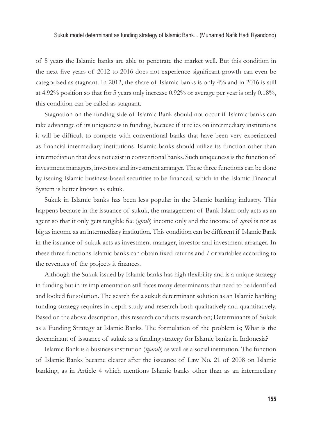of 5 years the Islamic banks are able to penetrate the market well. But this condition in the next five years of  $2012$  to  $2016$  does not experience significant growth can even be categorized as stagnant. In 2012, the share of Islamic banks is only 4% and in 2016 is still at 4.92% position so that for 5 years only increase 0.92% or average per year is only 0.18%, this condition can be called as stagnant.

Stagnation on the funding side of Islamic Bank should not occur if Islamic banks can take advantage of its uniqueness in funding, because if it relies on intermediary institutions it will be difficult to compete with conventional banks that have been very experienced as financial intermediary institutions. Islamic banks should utilize its function other than intermediation that does not exist in conventional banks. Such uniqueness is the function of investment managers, investors and investment arranger. These three functions can be done by issuing Islamic business-based securities to be financed, which in the Islamic Financial System is better known as sukuk.

Sukuk in Islamic banks has been less popular in the Islamic banking industry. This happens because in the issuance of sukuk, the management of Bank Islam only acts as an agent so that it only gets tangible fee (*ujrah*) income only and the income of *ujrah* is not as big as income as an intermediary institution. This condition can be different if Islamic Bank in the issuance of sukuk acts as investment manager, investor and investment arranger. In these three functions Islamic banks can obtain fixed returns and / or variables according to the revenues of the projects it finances.

Although the Sukuk issued by Islamic banks has high flexibility and is a unique strategy in funding but in its implementation still faces many determinants that need to be identified and looked for solution. The search for a sukuk determinant solution as an Islamic banking funding strategy requires in-depth study and research both qualitatively and quantitatively. Based on the above description, this research conducts research on; Determinants of Sukuk as a Funding Strategy at Islamic Banks. The formulation of the problem is; What is the determinant of issuance of sukuk as a funding strategy for Islamic banks in Indonesia?

Islamic Bank is a business institution (*tijarah*) as well as a social institution. The function of Islamic Banks became clearer after the issuance of Law No. 21 of 2008 on Islamic banking, as in Article 4 which mentions Islamic banks other than as an intermediary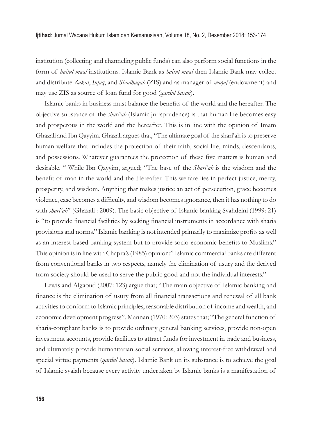institution (collecting and channeling public funds) can also perform social functions in the form of *baitul maal* institutions. Islamic Bank as *baitul maal* then Islamic Bank may collect and distribute *Zakat*, *Infaq*, and *Shadhaqah* (ZIS) and as manager of *waqaf* (endowment) and may use ZIS as source of loan fund for good (*qardul hasan*).

Islamic banks in business must balance the benefits of the world and the hereafter. The objective substance of the *shari'ah* (Islamic jurisprudence) is that human life becomes easy and prosperous in the world and the hereafter. This is in line with the opinion of Imam Ghazali and Ibn Qayyim. Ghazali argues that, "The ultimate goal of the shari'ah is to preserve human welfare that includes the protection of their faith, social life, minds, descendants, and possessions. Whatever guarantees the protection of these five matters is human and desirable. " While Ibn Qayyim, argued; "The base of the *Shari'ah* is the wisdom and the benefit of man in the world and the Hereafter. This welfare lies in perfect justice, mercy, prosperity, and wisdom. Anything that makes justice an act of persecution, grace becomes violence, ease becomes a difficulty, and wisdom becomes ignorance, then it has nothing to do with *shari'ah*" (Ghazali : 2009). The basic objective of Islamic banking Syahdeini (1999: 21) is "to provide financial facilities by seeking financial instruments in accordance with sharia provisions and norms." Islamic banking is not intended primarily to maximize profits as well as an interest-based banking system but to provide socio-economic benefits to Muslims." This opinion is in line with Chapra's (1985) opinion:" Islamic commercial banks are different from conventional banks in two respects, namely the elimination of usury and the derived from society should be used to serve the public good and not the individual interests."

Lewis and Algaoud (2007: 123) argue that; "The main objective of Islamic banking and finance is the elimination of usury from all financial transactions and renewal of all bank activities to conform to Islamic principles, reasonable distribution of income and wealth, and economic development progress". Mannan (1970: 203) states that; "The general function of sharia-compliant banks is to provide ordinary general banking services, provide non-open investment accounts, provide facilities to attract funds for investment in trade and business, and ultimately provide humanitarian social services, allowing interest-free withdrawal and special virtue payments (*qardul hasan*). Islamic Bank on its substance is to achieve the goal of Islamic syaiah because every activity undertaken by Islamic banks is a manifestation of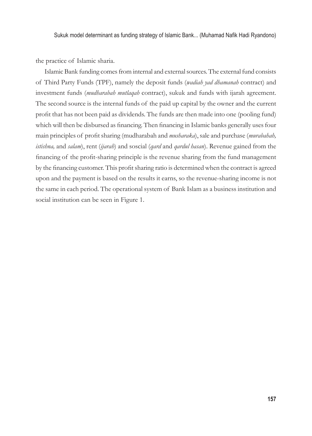the practice of Islamic sharia.

Islamic Bank funding comes from internal and external sources. The external fund consists of Third Party Funds (TPF), namely the deposit funds (*wadiah yad dhamanah* contract) and investment funds (*mudharabah mutlaqah* contract), sukuk and funds with ijarah agreement. The second source is the internal funds of the paid up capital by the owner and the current profit that has not been paid as dividends. The funds are then made into one (pooling fund) which will then be disbursed as financing. Then financing in Islamic banks generally uses four main principles of profi t sharing (mudharabah and *musharaka*), sale and purchase (*murabahah, istishna,* and *salam*), rent (*ijarah*) and soscial (*qard* and *qardul hasan*). Revenue gained from the financing of the profit-sharing principle is the revenue sharing from the fund management by the financing customer. This profit sharing ratio is determined when the contract is agreed upon and the payment is based on the results it earns, so the revenue-sharing income is not the same in each period. The operational system of Bank Islam as a business institution and social institution can be seen in Figure 1.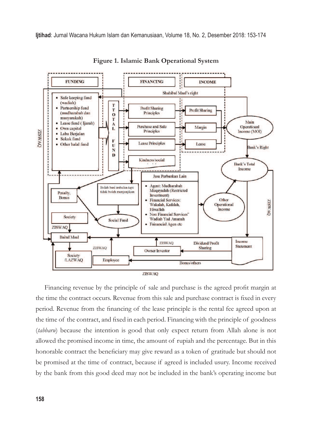

**Figure 1. Islamic Bank Operational System**

Financing revenue by the principle of sale and purchase is the agreed profit margin at the time the contract occurs. Revenue from this sale and purchase contract is fixed in every period. Revenue from the financing of the lease principle is the rental fee agreed upon at the time of the contract, and fixed in each period. Financing with the principle of goodness (*tabbaru*) because the intention is good that only expect return from Allah alone is not allowed the promised income in time, the amount of rupiah and the percentage. But in this honorable contract the beneficiary may give reward as a token of gratitude but should not be promised at the time of contract, because if agreed is included usury. Income received by the bank from this good deed may not be included in the bank's operating income but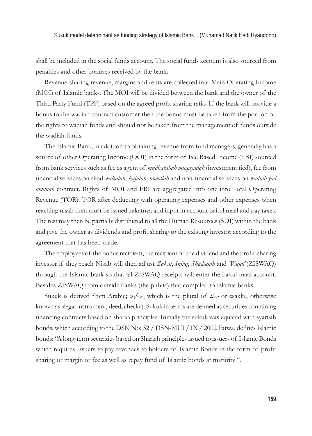shall be included in the social funds account. The social funds account is also sourced from penalties and other bonuses received by the bank.

Revenue-sharing revenue, margins and rents are collected into Main Operating Income (MOI) of Islamic banks. The MOI will be divided between the bank and the owner of the Third Party Fund (TPF) based on the agreed profi t sharing ratio. If the bank will provide a bonus to the wadiah contract customer then the bonus must be taken from the portion of the rights to wadiah funds and should not be taken from the management of funds outside the wadiah funds.

The Islamic Bank, in addition to obtaining revenue from fund managers, generally has a source of other Operating Income (OOI) in the form of Fee Based Income (FBI) sourced from bank services such as fee as agent of *mudharabah muqayadah* (investment tied), fee from financial services on akad *wakalah*, *kafalah*, *hiwallah* and non-financial services on *wadiah yad amanah* contract. Rights of MOI and FBI are aggregated into one into Total Operating Revenue (TOR). TOR after deducting with operating expenses and other expenses when reaching nisab then must be issued zakatnya and input in account baitul maal and pay taxes. The rest may then be partially distributed to all the Human Resources (SDI) within the bank and give the owner as dividends and profi t sharing to the existing investor according to the agreement that has been made.

The employees of the bonus recipient, the recipient of the dividend and the profit-sharing investor if they reach Nisab will then adjust *Zakat*, *Infaq*, *Shadaqah* and *Waqaf* (ZISWAQ) through the Islamic bank so that all ZISWAQ receipts will enter the baitul maal account. Besides ZISWAQ from outside banks (the public) that compiled to Islamic banks.

Sukuk is derived from Arabic; صلى, which is the plural of صل or «sakk», otherwise known as «legal instrument, deed, check»). Sukuk in terms are defined as securities containing financing contracts based on shariva principles. Initially the sukuk was equated with syarivah bonds, which according to the DSN No:  $32 /$  DSN-MUI / IX / 2002 Fatwa, defines Islamic bonds: "A long-term securities based on Shariah principles issued to issuers of Islamic Bonds which requires Issuers to pay revenues to holders of Islamic Bonds in the form of profit sharing or margin or fee as well as repay fund of Islamic bonds at maturity ".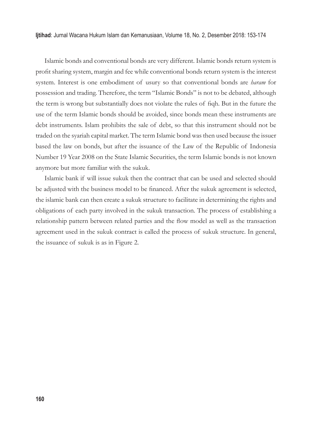Islamic bonds and conventional bonds are very different. Islamic bonds return system is profi t sharing system, margin and fee while conventional bonds return system is the interest system. Interest is one embodiment of usury so that conventional bonds are *haram* for possession and trading. Therefore, the term "Islamic Bonds" is not to be debated, although the term is wrong but substantially does not violate the rules of fiqh. But in the future the use of the term Islamic bonds should be avoided, since bonds mean these instruments are debt instruments. Islam prohibits the sale of debt, so that this instrument should not be traded on the syariah capital market. The term Islamic bond was then used because the issuer based the law on bonds, but after the issuance of the Law of the Republic of Indonesia Number 19 Year 2008 on the State Islamic Securities, the term Islamic bonds is not known anymore but more familiar with the sukuk.

Islamic bank if will issue sukuk then the contract that can be used and selected should be adjusted with the business model to be financed. After the sukuk agreement is selected, the islamic bank can then create a sukuk structure to facilitate in determining the rights and obligations of each party involved in the sukuk transaction. The process of establishing a relationship pattern between related parties and the flow model as well as the transaction agreement used in the sukuk contract is called the process of sukuk structure. In general, the issuance of sukuk is as in Figure 2.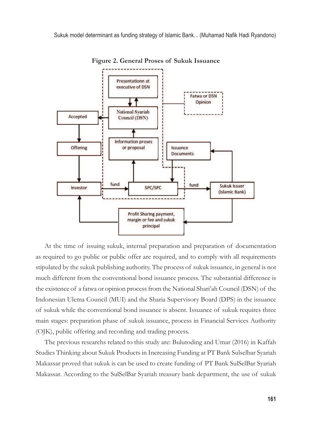

**Figure 2. General Proses of Sukuk Issuance**

At the time of issuing sukuk, internal preparation and preparation of documentation as required to go public or public offer are required, and to comply with all requirements stipulated by the sukuk publishing authority. The process of sukuk issuance, in general is not much different from the conventional bond issuance process. The substantial difference is the existence of a fatwa or opinion process from the National Shari'ah Council (DSN) of the Indonesian Ulema Council (MUI) and the Sharia Supervisory Board (DPS) in the issuance of sukuk while the conventional bond issuance is absent. Issuance of sukuk requires three main stages: preparation phase of sukuk issuance, process in Financial Services Authority (OJK), public offering and recording and trading process.

The previous researchs related to this study are: Bulutoding and Umar (2016) in Kaffah Studies Thinking about Sukuk Products in Increasing Funding at PT Bank Sulselbar Syariah Makassar proved that sukuk is can be used to create funding of PT Bank SulSelBar Syariah Makassar. According to the SulSelBar Syariah treasury bank department, the use of sukuk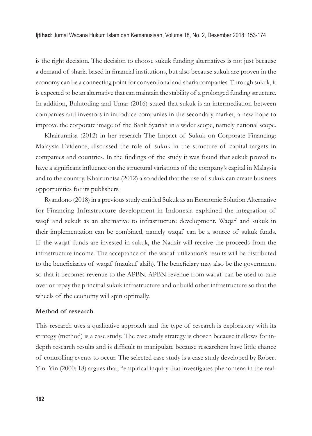is the right decision. The decision to choose sukuk funding alternatives is not just because a demand of sharia based in financial institutions, but also because sukuk are proven in the economy can be a connecting point for conventional and sharia companies. Through sukuk, it is expected to be an alternative that can maintain the stability of a prolonged funding structure. In addition, Bulutoding and Umar (2016) stated that sukuk is an intermediation between companies and investors in introduce companies in the secondary market, a new hope to improve the corporate image of the Bank Syariah in a wider scope, namely national scope.

Khairunnisa (2012) in her research The Impact of Sukuk on Corporate Financing: Malaysia Evidence, discussed the role of sukuk in the structure of capital targets in companies and countries. In the findings of the study it was found that sukuk proved to have a significant influence on the structural variations of the company's capital in Malaysia and to the country. Khairunnisa (2012) also added that the use of sukuk can create business opportunities for its publishers.

Ryandono (2018) in a previous study entitled Sukuk as an Economic Solution Alternative for Financing Infrastructure development in Indonesia explained the integration of waqf and sukuk as an alternative to infrastructure development. Waqaf and sukuk in their implementation can be combined, namely waqaf can be a source of sukuk funds. If the waqaf funds are invested in sukuk, the Nadzir will receive the proceeds from the infrastructure income. The acceptance of the waqaf utilization's results will be distributed to the beneficiaries of waqaf (maukuf alaih). The beneficiary may also be the government so that it becomes revenue to the APBN. APBN revenue from waqaf can be used to take over or repay the principal sukuk infrastructure and or build other infrastructure so that the wheels of the economy will spin optimally.

## **Method of research**

This research uses a qualitative approach and the type of research is exploratory with its strategy (method) is a case study. The case study strategy is chosen because it allows for indepth research results and is difficult to manipulate because researchers have little chance of controlling events to occur. The selected case study is a case study developed by Robert Yin. Yin (2000: 18) argues that, "empirical inquiry that investigates phenomena in the real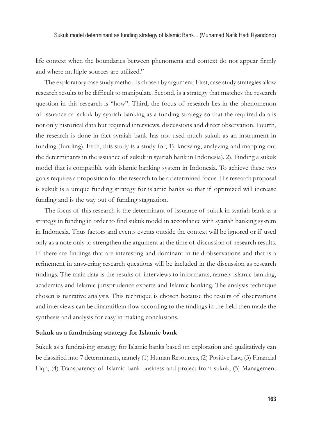life context when the boundaries between phenomena and context do not appear firmly and where multiple sources are utilized."

The exploratory case study method is chosen by argument; First, case study strategies allow research results to be difficult to manipulate. Second, is a strategy that matches the research question in this research is "how". Third, the focus of research lies in the phenomenon of issuance of sukuk by syariah banking as a funding strategy so that the required data is not only historical data but required interviews, discussions and direct observation. Fourth, the research is done in fact syraiah bank has not used much sukuk as an instrument in funding (funding). Fifth, this study is a study for; 1). knowing, analyzing and mapping out the determinants in the issuance of sukuk in syariah bank in Indonesia). 2). Finding a sukuk model that is compatible with islamic banking system in Indonesia. To achieve these two goals requires a proposition for the research to be a determined focus. His research proposal is sukuk is a unique funding strategy for islamic banks so that if optimized will increase funding and is the way out of funding stagnation.

The focus of this research is the determinant of issuance of sukuk in syariah bank as a strategy in funding in order to find sukuk model in accordance with syariah banking system in Indonesia. Thus factors and events events outside the context will be ignored or if used only as a note only to strengthen the argument at the time of discussion of research results. If there are findings that are interesting and dominant in field observations and that is a refinement in answering research questions will be included in the discussion as research findings. The main data is the results of interviews to informants, namely islamic banking, academics and Islamic jurisprudence experts and Islamic banking. The analysis technique chosen is narrative analysis. This technique is chosen because the results of observations and interviews can be dinaratifkan flow according to the findings in the field then made the synthesis and analysis for easy in making conclusions.

## **Sukuk as a fundraising strategy for Islamic bank**

Sukuk as a fundraising strategy for Islamic banks based on exploration and qualitatively can be classified into 7 determinants, namely (1) Human Resources, (2) Positive Law, (3) Financial Fiqh, (4) Transparency of Islamic bank business and project from sukuk, (5) Management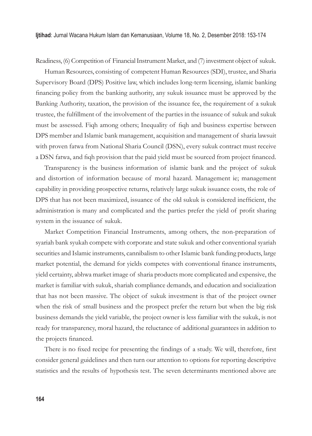Readiness, (6) Competition of Financial Instrument Market, and (7) investment object of sukuk.

Human Resources, consisting of competent Human Resources (SDI), trustee, and Sharia Supervisory Board (DPS) Positive law, which includes long-term licensing, islamic banking financing policy from the banking authority, any sukuk issuance must be approved by the Banking Authority, taxation, the provision of the issuance fee, the requirement of a sukuk trustee, the fulfillment of the involvement of the parties in the issuance of sukuk and sukuk must be assessed. Figh among others; Inequality of figh and business expertise between DPS member and Islamic bank management, acquisition and management of sharia lawsuit with proven fatwa from National Sharia Council (DSN), every sukuk contract must receive a DSN fatwa, and fiqh provision that the paid yield must be sourced from project financed.

Transparency is the business information of islamic bank and the project of sukuk and distortion of information because of moral hazard. Management ie; management capability in providing prospective returns, relatively large sukuk issuance costs, the role of DPS that has not been maximized, issuance of the old sukuk is considered inefficient, the administration is many and complicated and the parties prefer the yield of profi t sharing system in the issuance of sukuk.

Market Competition Financial Instruments, among others, the non-preparation of syariah bank syukah compete with corporate and state sukuk and other conventional syariah securities and Islamic instruments, cannibalism to other Islamic bank funding products, large market potential, the demand for yields competes with conventional finance instruments, yield certainty, abhwa market image of sharia products more complicated and expensive, the market is familiar with sukuk, shariah compliance demands, and education and socialization that has not been massive. The object of sukuk investment is that of the project owner when the risk of small business and the prospect prefer the return but when the big risk business demands the yield variable, the project owner is less familiar with the sukuk, is not ready for transparency, moral hazard, the reluctance of additional guarantees in addition to the projects financed.

There is no fixed recipe for presenting the findings of a study. We will, therefore, first consider general guidelines and then turn our attention to options for reporting descriptive statistics and the results of hypothesis test. The seven determinants mentioned above are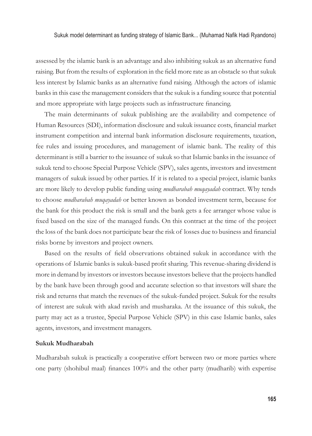assessed by the islamic bank is an advantage and also inhibiting sukuk as an alternative fund raising. But from the results of exploration in the field more rate as an obstacle so that sukuk less interest by Islamic banks as an alternative fund raising. Although the actors of islamic banks in this case the management considers that the sukuk is a funding source that potential and more appropriate with large projects such as infrastructure financing.

The main determinants of sukuk publishing are the availability and competence of Human Resources (SDI), information disclosure and sukuk issuance costs, financial market instrument competition and internal bank information disclosure requirements, taxation, fee rules and issuing procedures, and management of islamic bank. The reality of this determinant is still a barrier to the issuance of sukuk so that Islamic banks in the issuance of sukuk tend to choose Special Purpose Vehicle (SPV), sales agents, investors and investment managers of sukuk issued by other parties. If it is related to a special project, islamic banks are more likely to develop public funding using *mudharabah muqayadah* contract. Why tends to choose *mudharabah muqayadah* or better known as bonded investment term, because for the bank for this product the risk is small and the bank gets a fee arranger whose value is fixed based on the size of the managed funds. On this contract at the time of the project the loss of the bank does not participate bear the risk of losses due to business and financial risks borne by investors and project owners.

Based on the results of field observations obtained sukuk in accordance with the operations of Islamic banks is sukuk-based profi t sharing. This revenue-sharing dividend is more in demand by investors or investors because investors believe that the projects handled by the bank have been through good and accurate selection so that investors will share the risk and returns that match the revenues of the sukuk-funded project. Sukuk for the results of interest are sukuk with akad ravish and musharaka. At the issuance of this sukuk, the party may act as a trustee, Special Purpose Vehicle (SPV) in this case Islamic banks, sales agents, investors, and investment managers.

# **Sukuk Mudharabah**

Mudharabah sukuk is practically a cooperative effort between two or more parties where one party (shohibul maal) finances  $100\%$  and the other party (mudharib) with expertise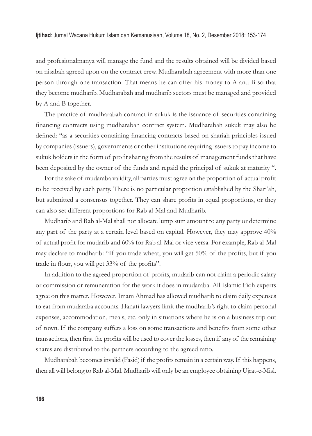and profesionalmanya will manage the fund and the results obtained will be divided based on nisabah agreed upon on the contract crew. Mudharabah agreement with more than one person through one transaction. That means he can offer his money to A and B so that they become mudharib. Mudharabah and mudharib sectors must be managed and provided by A and B together.

The practice of mudharabah contract in sukuk is the issuance of securities containing financing contracts using mudharabah contract system. Mudharabah sukuk may also be defined: "as a securities containing financing contracts based on shariah principles issued by companies (issuers), governments or other institutions requiring issuers to pay income to sukuk holders in the form of profit sharing from the results of management funds that have been deposited by the owner of the funds and repaid the principal of sukuk at maturity ".

For the sake of mudaraba validity, all parties must agree on the proportion of actual profit to be received by each party. There is no particular proportion established by the Shari'ah, but submitted a consensus together. They can share profits in equal proportions, or they can also set different proportions for Rab al-Mal and Mudharib.

Mudharib and Rab al-Mal shall not allocate lump sum amount to any party or determine any part of the party at a certain level based on capital. However, they may approve 40% of actual profit for mudarib and 60% for Rab al-Mal or vice versa. For example, Rab al-Mal may declare to mudharib: "If you trade wheat, you will get 50% of the profits, but if you trade in flour, you will get 33% of the profits".

In addition to the agreed proportion of profits, mudarib can not claim a periodic salary or commission or remuneration for the work it does in mudaraba. All Islamic Fiqh experts agree on this matter. However, Imam Ahmad has allowed mudharib to claim daily expenses to eat from mudaraba accounts. Hanafi lawyers limit the mudharib's right to claim personal expenses, accommodation, meals, etc. only in situations where he is on a business trip out of town. If the company suffers a loss on some transactions and benefits from some other transactions, then first the profits will be used to cover the losses, then if any of the remaining shares are distributed to the partners according to the agreed ratio.

Mudharabah becomes invalid (Fasid) if the profits remain in a certain way. If this happens, then all will belong to Rab al-Mal. Mudharib will only be an employee obtaining Ujrat-e-Misl.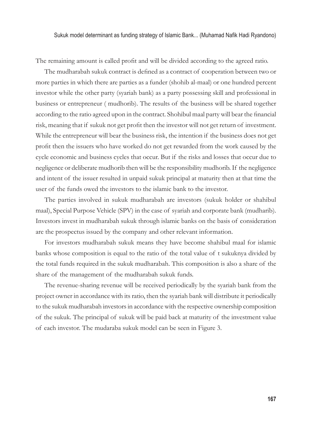The remaining amount is called profit and will be divided according to the agreed ratio.

The mudharabah sukuk contract is defined as a contract of cooperation between two or more parties in which there are parties as a funder (shohib al-maal) or one hundred percent investor while the other party (syariah bank) as a party possessing skill and professional in business or entrepreneur ( mudhorib). The results of the business will be shared together according to the ratio agreed upon in the contract. Shohibul maal party will bear the financial risk, meaning that if sukuk not get profit then the investor will not get return of investment. While the entrepreneur will bear the business risk, the intention if the business does not get profit then the issuers who have worked do not get rewarded from the work caused by the cycle economic and business cycles that occur. But if the risks and losses that occur due to negligence or deliberate mudhorib then will be the responsibility mudhorib. If the negligence and intent of the issuer resulted in unpaid sukuk principal at maturity then at that time the user of the funds owed the investors to the islamic bank to the investor.

The parties involved in sukuk mudharabah are investors (sukuk holder or shahibul maal), Special Purpose Vehicle (SPV) in the case of syariah and corporate bank (mudharib). Investors invest in mudharabah sukuk through islamic banks on the basis of consideration are the prospectus issued by the company and other relevant information.

For investors mudharabah sukuk means they have become shahibul maal for islamic banks whose composition is equal to the ratio of the total value of t sukuknya divided by the total funds required in the sukuk mudharabah. This composition is also a share of the share of the management of the mudharabah sukuk funds.

The revenue-sharing revenue will be received periodically by the syariah bank from the project owner in accordance with its ratio, then the syariah bank will distribute it periodically to the sukuk mudharabah investors in accordance with the respective ownership composition of the sukuk. The principal of sukuk will be paid back at maturity of the investment value of each investor. The mudaraba sukuk model can be seen in Figure 3.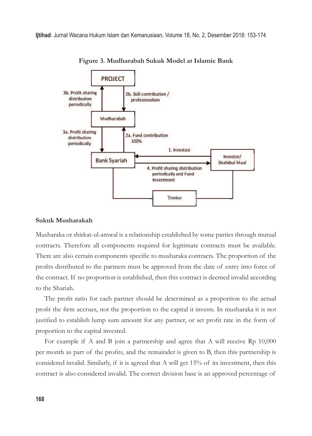

**Figure 3. Mudharabah Sukuk Model at Islamic Bank**

### **Sukuk Musharakah**

Musharaka or shirkat-ul-amwal is a relationship established by some parties through mutual contracts. Therefore all components required for legitimate contracts must be available. There are also certain components specific to musharaka contracts. The proportion of the profits distributed to the partners must be approved from the date of entry into force of the contract. If no proportion is established, then this contract is deemed invalid according to the Shariah.

The profit ratio for each partner should be determined as a proportion to the actual profit the firm accrues, not the proportion to the capital it invests. In musharaka it is not justified to establish lump sum amount for any partner, or set profit rate in the form of proportion to the capital invested.

For example if A and B join a partnership and agree that A will receive Rp 10,000 per month as part of the profits, and the remainder is given to B, then this partnership is considered invalid. Similarly, if it is agreed that A will get 15% of its investment, then this contract is also considered invalid. The correct division base is an approved percentage of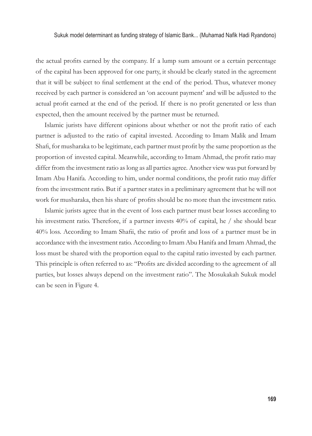the actual profits earned by the company. If a lump sum amount or a certain percentage of the capital has been approved for one party, it should be clearly stated in the agreement that it will be subject to final settlement at the end of the period. Thus, whatever money received by each partner is considered an 'on account payment' and will be adjusted to the actual profit earned at the end of the period. If there is no profit generated or less than expected, then the amount received by the partner must be returned.

Islamic jurists have different opinions about whether or not the profit ratio of each partner is adjusted to the ratio of capital invested. According to Imam Malik and Imam Shafi, for musharaka to be legitimate, each partner must profit by the same proportion as the proportion of invested capital. Meanwhile, according to Imam Ahmad, the profit ratio may differ from the investment ratio as long as all parties agree. Another view was put forward by Imam Abu Hanifa. According to him, under normal conditions, the profit ratio may differ from the investment ratio. But if a partner states in a preliminary agreement that he will not work for musharaka, then his share of profits should be no more than the investment ratio.

Islamic jurists agree that in the event of loss each partner must bear losses according to his investment ratio. Therefore, if a partner invests 40% of capital, he / she should bear 40% loss. According to Imam Shafii, the ratio of profit and loss of a partner must be in accordance with the investment ratio. According to Imam Abu Hanifa and Imam Ahmad, the loss must be shared with the proportion equal to the capital ratio invested by each partner. This principle is often referred to as: "Profits are divided according to the agreement of all parties, but losses always depend on the investment ratio". The Mosukakah Sukuk model can be seen in Figure 4.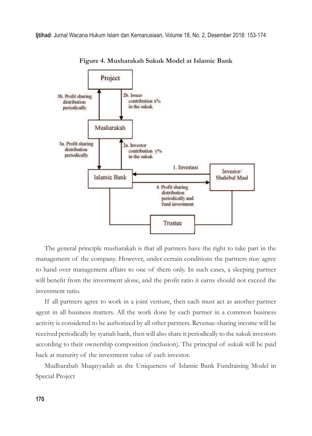

**Figure 4. Musharakah Sukuk Model at Islamic Bank**

The general principle musharakah is that all partners have the right to take part in the management of the company. However, under certain conditions the partners may agree to hand over management affairs to one of them only. In such cases, a sleeping partner will benefit from the investment alone, and the profit ratio it earns should not exceed the investment ratio.

If all partners agree to work in a joint venture, then each must act as another partner agent in all business matters. All the work done by each partner in a common business activity is considered to be authorized by all other partners. Revenue-sharing income will be received periodically by syariah bank, then will also share it periodically to the sukuk investors according to their ownership composition (inclusion). The principal of sukuk will be paid back at maturity of the investment value of each investor.

Mudharabah Muqayyadah as the Uniqueness of Islamic Bank Fundraising Model in Special Project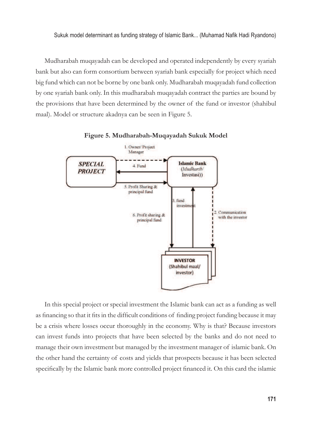Mudharabah muqayadah can be developed and operated independently by every syariah bank but also can form consortium between syariah bank especially for project which need big fund which can not be borne by one bank only. Mudharabah muqayadah fund collection by one syariah bank only. In this mudharabah muqayadah contract the parties are bound by the provisions that have been determined by the owner of the fund or investor (shahibul maal). Model or structure akadnya can be seen in Figure 5.



**Figure 5. Mudharabah-Muqayadah Sukuk Model**

In this special project or special investment the Islamic bank can act as a funding as well as financing so that it fits in the difficult conditions of finding project funding because it may be a crisis where losses occur thoroughly in the economy. Why is that? Because investors can invest funds into projects that have been selected by the banks and do not need to manage their own investment but managed by the investment manager of islamic bank. On the other hand the certainty of costs and yields that prospects because it has been selected specifically by the Islamic bank more controlled project financed it. On this card the islamic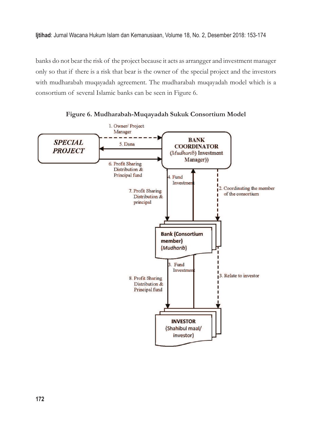banks do not bear the risk of the project because it acts as arrangger and investment manager only so that if there is a risk that bear is the owner of the special project and the investors with mudharabah muqayadah agreement. The mudharabah muqayadah model which is a consortium of several Islamic banks can be seen in Figure 6.



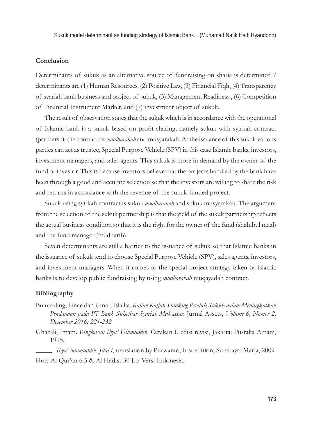Sukuk model determinant as funding strategy of Islamic Bank... (Muhamad Nafik Hadi Ryandono)

## **Conclusion**

Determinants of sukuk as an alternative source of fundraising on sharia is determined 7 determinants are (1) Human Resources, (2) Positive Law, (3) Financial Fiqh, (4) Transparency of syariah bank business and project of sukuk, (5) Management Readiness , (6) Competition of Financial Instrument Market, and (7) investment object of sukuk.

The result of observation states that the sukuk which is in accordance with the operational of Islamic bank is a sukuk based on profit sharing, namely sukuk with syirkah contract (parthership) ie contract of *mudharabah* and musyarakah. At the issuance of this sukuk various parties can act as trustee, Special Purpose Vehicle (SPV) in this case Islamic banks, investors, investment managers, and sales agents. This sukuk is more in demand by the owner of the fund or investor. This is because investors believe that the projects handled by the bank have been through a good and accurate selection so that the investors are willing to share the risk and returns in accordance with the revenue of the sukuk-funded project.

Sukuk using syirkah contract is sukuk *mudharabah* and sukuk musyarakah. The argument from the selection of the sukuk pertnership is that the yield of the sukuk partnership reflects the actual business condition so that it is the right for the owner of the fund (shahibul maal) and the fund manager (mudharib).

Seven determinants are still a barrier to the issuance of sukuk so that Islamic banks in the issuance of sukuk tend to choose Special Purpose Vehicle (SPV), sales agents, investors, and investment managers. When it comes to the special project strategy taken by islamic banks is to develop public fundraising by using *mudharabah* muqayadah contract.

### **Bibliography**

- Bulutoding, Lince dan Umar, Islailia. *Kajian Kaffah Thinking Produk Sukuk dalam Meningkatkan Pendanaan pada PT Bank Sulselbar Syariah Makassar*. Jurnal Assets, *Volume 6, Nomor 2, Desember 2016: 221-232*
- Ghazali, Imam. *Ringkasan Ihya' Ulumuddin*. Cetakan I, edisi revisi, Jakarta: Pustaka Amani, 1995.

*Ihya' 'ulumuddin. Jilid I*, translation by Purwanto, first edition, Surabaya: Marja, 2009. Holy Al Qur'an 6.5 & Al Hadist 30 Juz Versi Indonesia.